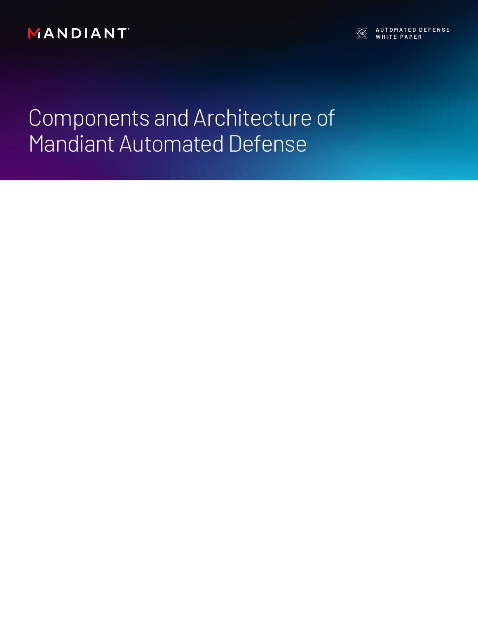MANDIANT

**AUTOMATED DEFENSE WHITE PAPER**<br>WHITE PAPER

Components and Architecture of Mandiant Automated Defense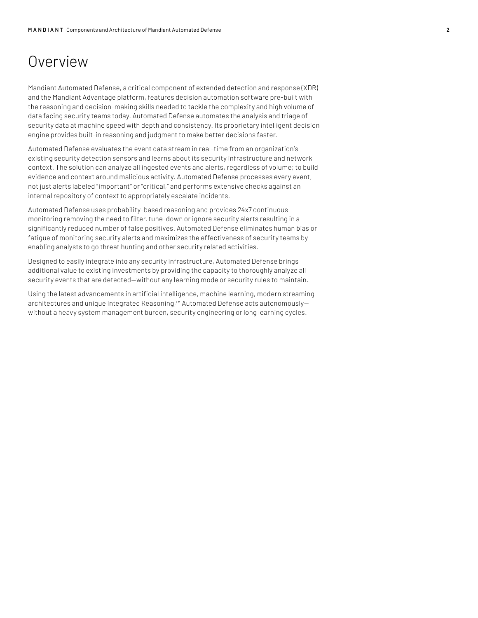## Overview

Mandiant Automated Defense, a critical component of extended detection and response (XDR) and the Mandiant Advantage platform, features decision automation software pre-built with the reasoning and decision-making skills needed to tackle the complexity and high volume of data facing security teams today. Automated Defense automates the analysis and triage of security data at machine speed with depth and consistency. Its proprietary intelligent decision engine provides built-in reasoning and judgment to make better decisions faster.

Automated Defense evaluates the event data stream in real-time from an organization's existing security detection sensors and learns about its security infrastructure and network context. The solution can analyze all ingested events and alerts, regardless of volume; to build evidence and context around malicious activity. Automated Defense processes every event, not just alerts labeled "important" or "critical," and performs extensive checks against an internal repository of context to appropriately escalate incidents.

Automated Defense uses probability-based reasoning and provides 24x7 continuous monitoring removing the need to filter, tune-down or ignore security alerts resulting in a significantly reduced number of false positives. Automated Defense eliminates human bias or fatigue of monitoring security alerts and maximizes the effectiveness of security teams by enabling analysts to go threat hunting and other security related activities.

Designed to easily integrate into any security infrastructure, Automated Defense brings additional value to existing investments by providing the capacity to thoroughly analyze all security events that are detected—without any learning mode or security rules to maintain.

Using the latest advancements in artificial intelligence, machine learning, modern streaming architectures and unique Integrated Reasoning,™ Automated Defense acts autonomously without a heavy system management burden, security engineering or long learning cycles.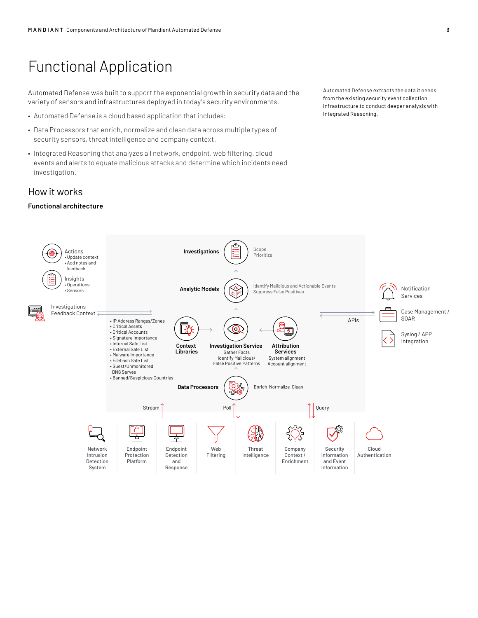# Functional Application

Automated Defense was built to support the exponential growth in security data and the variety of sensors and infrastructures deployed in today's security environments.

- Automated Defense is a cloud based application that includes:
- Data Processors that enrich, normalize and clean data across multiple types of security sensors, threat intelligence and company context.
- Integrated Reasoning that analyzes all network, endpoint, web filtering, cloud events and alerts to equate malicious attacks and determine which incidents need investigation.

### How it works

#### **Functional architecture**

Automated Defense extracts the data it needs from the existing security event collection infrastructure to conduct deeper analysis with Integrated Reasoning.

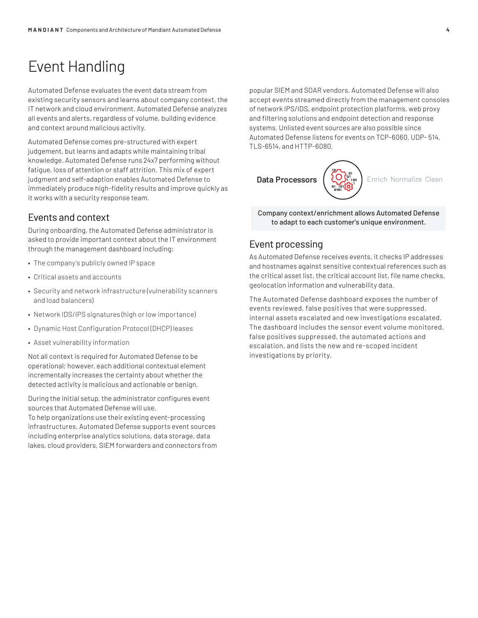# Event Handling

Automated Defense evaluates the event data stream from existing security sensors and learns about company context, the IT network and cloud environment. Automated Defense analyzes all events and alerts, regardless of volume, building evidence and context around malicious activity.

Automated Defense comes pre-structured with expert judgement, but learns and adapts while maintaining tribal knowledge. Automated Defense runs 24x7 performing without fatigue, loss of attention or staff attrition. This mix of expert judgment and self-adaption enables Automated Defense to immediately produce high-fidelity results and improve quickly as it works with a security response team.

### Events and context

During onboarding, the Automated Defense administrator is asked to provide important context about the IT environment through the management dashboard including:

- The company's publicly owned IP space
- Critical assets and accounts
- Security and network infrastructure (vulnerability scanners and load balancers)
- Network IDS/IPS signatures (high or low importance)
- Dynamic Host Configuration Protocol (DHCP) leases
- Asset vulnerability information

Not all context is required for Automated Defense to be operational; however, each additional contextual element incrementally increases the certainty about whether the detected activity is malicious and actionable or benign.

During the initial setup, the administrator configures event sources that Automated Defense will use.

To help organizations use their existing event-processing infrastructures, Automated Defense supports event sources including enterprise analytics solutions, data storage, data lakes, cloud providers, SIEM forwarders and connectors from

popular SIEM and SOAR vendors. Automated Defense will also accept events streamed directly from the management consoles of network IPS/IDS, endpoint protection platforms, web proxy and filtering solutions and endpoint detection and response systems. Unlisted event sources are also possible since Automated Defense listens for events on TCP-6060, UDP- 514, TLS-6514, and HTTP-6080.



Company context/enrichment allows Automated Defense to adapt to each customer's unique environment.

### Event processing

As Automated Defense receives events, it checks IP addresses and hostnames against sensitive contextual references such as the critical asset list, the critical account list, file name checks, geolocation information and vulnerability data.

The Automated Defense dashboard exposes the number of events reviewed, false positives that were suppressed, internal assets escalated and new investigations escalated. The dashboard includes the sensor event volume monitored, false positives suppressed, the automated actions and escalation, and lists the new and re-scoped incident investigations by priority.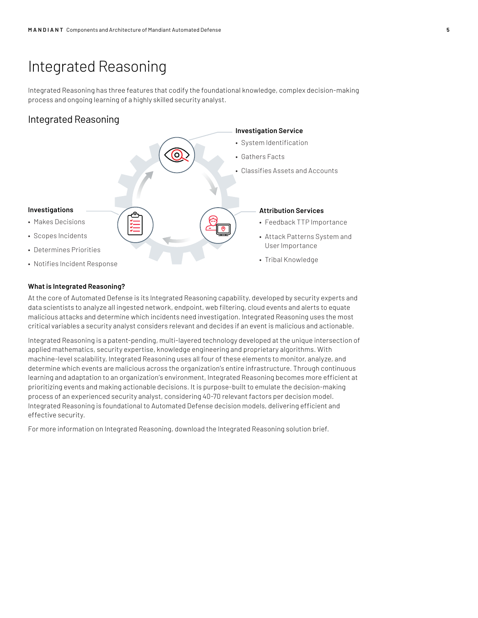## Integrated Reasoning

Integrated Reasoning has three features that codify the foundational knowledge, complex decision-making process and ongoing learning of a highly skilled security analyst.

## Integrated Reasoning



#### **What is Integrated Reasoning?**

At the core of Automated Defense is its Integrated Reasoning capability, developed by security experts and data scientists to analyze all ingested network, endpoint, web filtering, cloud events and alerts to equate malicious attacks and determine which incidents need investigation. Integrated Reasoning uses the most critical variables a security analyst considers relevant and decides if an event is malicious and actionable.

Integrated Reasoning is a patent-pending, multi-layered technology developed at the unique intersection of applied mathematics, security expertise, knowledge engineering and proprietary algorithms. With machine-level scalability, Integrated Reasoning uses all four of these elements to monitor, analyze, and determine which events are malicious across the organization's entire infrastructure. Through continuous learning and adaptation to an organization's environment, Integrated Reasoning becomes more efficient at prioritizing events and making actionable decisions. It is purpose-built to emulate the decision-making process of an experienced security analyst, considering 40-70 relevant factors per decision model. Integrated Reasoning is foundational to Automated Defense decision models, delivering efficient and effective security.

For more information on Integrated Reasoning, download the Integrated Reasoning solution brief.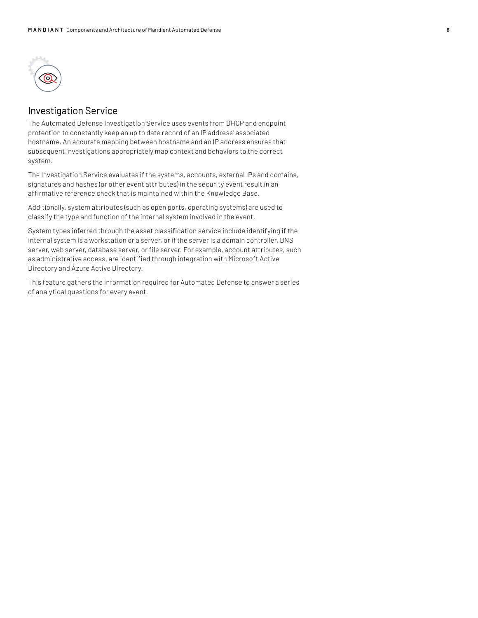

## Investigation Service

The Automated Defense Investigation Service uses events from DHCP and endpoint protection to constantly keep an up to date record of an IP address' associated hostname. An accurate mapping between hostname and an IP address ensures that subsequent investigations appropriately map context and behaviors to the correct system.

The Investigation Service evaluates if the systems, accounts, external IPs and domains, signatures and hashes (or other event attributes) in the security event result in an affirmative reference check that is maintained within the Knowledge Base.

Additionally, system attributes (such as open ports, operating systems) are used to classify the type and function of the internal system involved in the event.

System types inferred through the asset classification service include identifying if the internal system is a workstation or a server, or if the server is a domain controller, DNS server, web server, database server, or file server. For example, account attributes, such as administrative access, are identified through integration with Microsoft Active Directory and Azure Active Directory.

This feature gathers the information required for Automated Defense to answer a series of analytical questions for every event.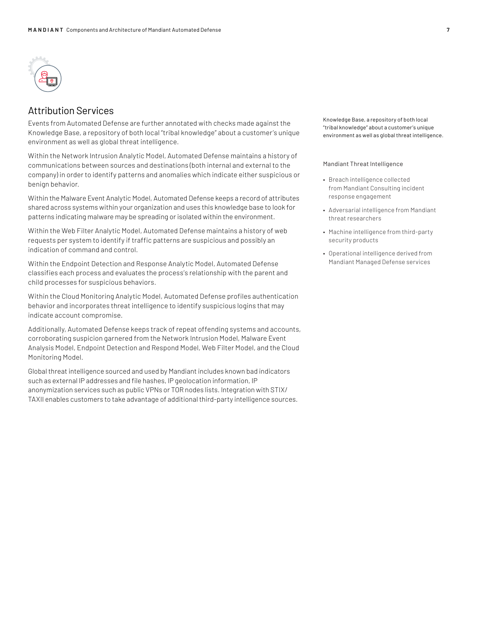

### Attribution Services

Events from Automated Defense are further annotated with checks made against the Knowledge Base, a repository of both local "tribal knowledge" about a customer's unique environment as well as global threat intelligence.

Within the Network Intrusion Analytic Model, Automated Defense maintains a history of communications between sources and destinations (both internal and external to the company) in order to identify patterns and anomalies which indicate either suspicious or benign behavior.

Within the Malware Event Analytic Model, Automated Defense keeps a record of attributes shared across systems within your organization and uses this knowledge base to look for patterns indicating malware may be spreading or isolated within the environment.

Within the Web Filter Analytic Model, Automated Defense maintains a history of web requests per system to identify if traffic patterns are suspicious and possibly an indication of command and control.

Within the Endpoint Detection and Response Analytic Model, Automated Defense classifies each process and evaluates the process's relationship with the parent and child processes for suspicious behaviors.

Within the Cloud Monitoring Analytic Model, Automated Defense profiles authentication behavior and incorporates threat intelligence to identify suspicious logins that may indicate account compromise.

Additionally, Automated Defense keeps track of repeat offending systems and accounts, corroborating suspicion garnered from the Network Intrusion Model, Malware Event Analysis Model, Endpoint Detection and Respond Model, Web Filter Model, and the Cloud Monitoring Model.

Global threat intelligence sourced and used by Mandiant includes known bad indicators such as external IP addresses and file hashes, IP geolocation information, IP anonymization services such as public VPNs or TOR nodes lists. Integration with STIX/ TAXII enables customers to take advantage of additional third-party intelligence sources. Knowledge Base, a repository of both local "tribal knowledge" about a customer's unique environment as well as global threat intelligence.

Mandiant Threat Intelligence

- Breach intelligence collected from Mandiant Consulting incident response engagement
- Adversarial intelligence from Mandiant threat researchers
- Machine intelligence from third-party security products
- Operational intelligence derived from Mandiant Managed Defense services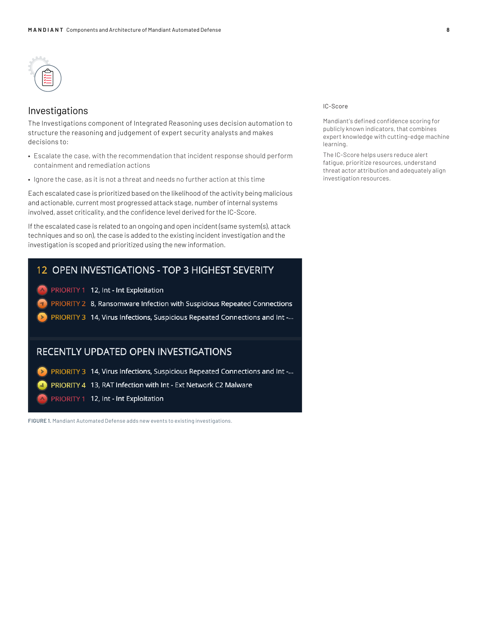

### Investigations

The Investigations component of Integrated Reasoning uses decision automation to structure the reasoning and judgement of expert security analysts and makes decisions to:

- Escalate the case, with the recommendation that incident response should perform containment and remediation actions
- Ignore the case, as it is not a threat and needs no further action at this time

Each escalated case is prioritized based on the likelihood of the activity being malicious and actionable, current most progressed attack stage, number of internal systems involved, asset criticality, and the confidence level derived for the IC-Score.

If the escalated case is related to an ongoing and open incident (same system(s), attack techniques and so on), the case is added to the existing incident investigation and the investigation is scoped and prioritized using the new information.

## 12 OPEN INVESTIGATIONS - TOP 3 HIGHEST SEVERITY

- PRIORITY 1 12, Int Int Exploitation
- PRIORITY 2 8, Ransomware Infection with Suspicious Repeated Connections
- PRIORITY 3 14, Virus Infections, Suspicious Repeated Connections and Int -...

### RECENTLY UPDATED OPEN INVESTIGATIONS

PRIORITY 3 14, Virus Infections, Suspicious Repeated Connections and Int -...  $\blacktriangleright$ 

PRIORITY 4 13, RAT Infection with Int - Ext Network C2 Malware

PRIORITY 1 12, Int - Int Exploitation

**FIGURE 1.** Mandiant Automated Defense adds new events to existing investigations.

#### IC-Score

Mandiant's defined confidence scoring for publicly known indicators, that combines expert knowledge with cutting-edge machine learning.

The IC-Score helps users reduce alert fatigue, prioritize resources, understand threat actor attribution and adequately align investigation resources.